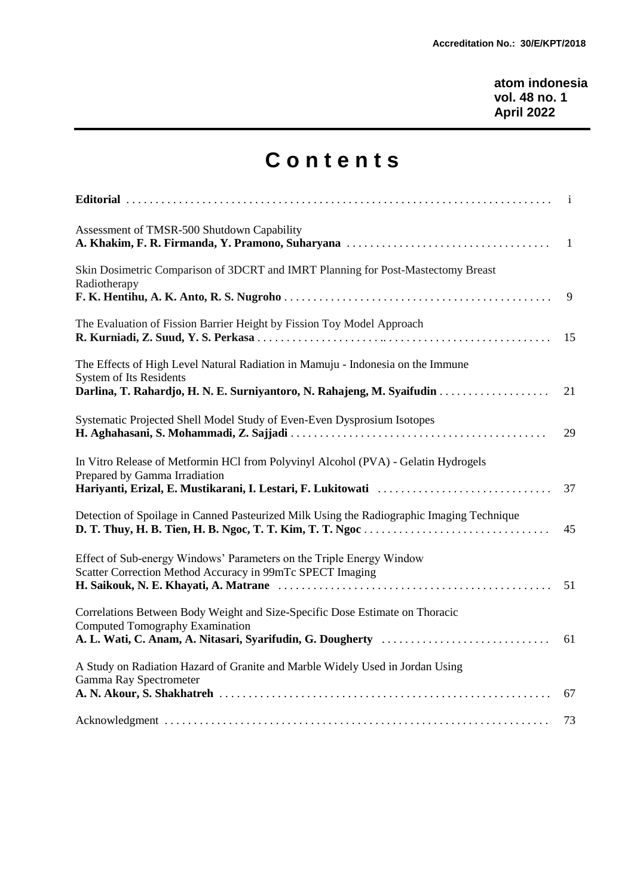**atom indonesia vol. 48 no. 1 April 2022**

## **C o n t e n t s**

|                                                                                                                                   | i            |
|-----------------------------------------------------------------------------------------------------------------------------------|--------------|
| Assessment of TMSR-500 Shutdown Capability                                                                                        | $\mathbf{1}$ |
| Skin Dosimetric Comparison of 3DCRT and IMRT Planning for Post-Mastectomy Breast<br>Radiotherapy                                  | 9            |
| The Evaluation of Fission Barrier Height by Fission Toy Model Approach                                                            | 15           |
| The Effects of High Level Natural Radiation in Mamuju - Indonesia on the Immune<br><b>System of Its Residents</b>                 | 21           |
| Systematic Projected Shell Model Study of Even-Even Dysprosium Isotopes                                                           | 29           |
| In Vitro Release of Metformin HCl from Polyvinyl Alcohol (PVA) - Gelatin Hydrogels<br>Prepared by Gamma Irradiation               | 37           |
| Detection of Spoilage in Canned Pasteurized Milk Using the Radiographic Imaging Technique                                         | 45           |
| Effect of Sub-energy Windows' Parameters on the Triple Energy Window<br>Scatter Correction Method Accuracy in 99mTc SPECT Imaging | 51           |
| Correlations Between Body Weight and Size-Specific Dose Estimate on Thoracic<br><b>Computed Tomography Examination</b>            | 61           |
| A Study on Radiation Hazard of Granite and Marble Widely Used in Jordan Using<br>Gamma Ray Spectrometer                           | 67           |
|                                                                                                                                   | 73           |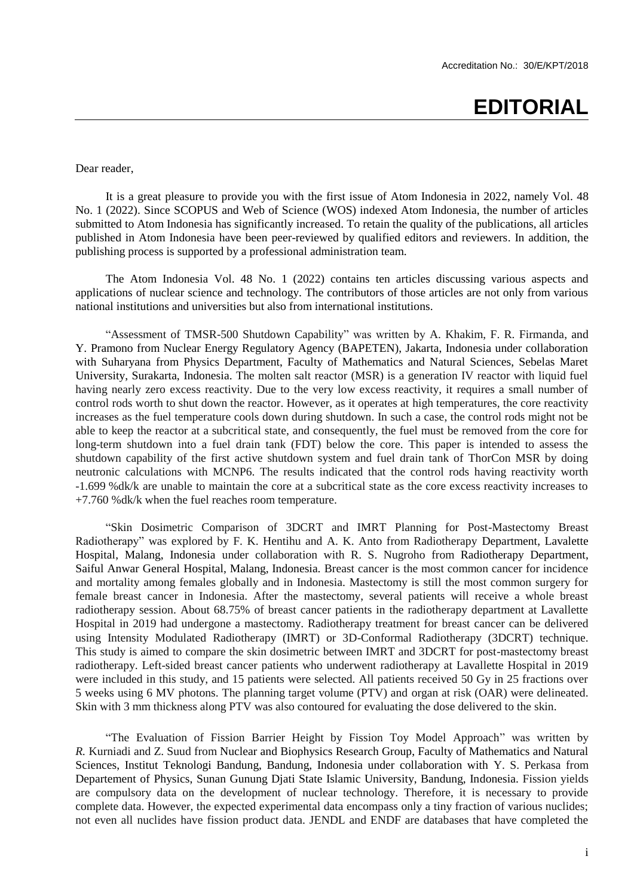## **EDITORIAL**

Dear reader,

It is a great pleasure to provide you with the first issue of Atom Indonesia in 2022, namely Vol. 48 No. 1 (2022). Since SCOPUS and Web of Science (WOS) indexed Atom Indonesia, the number of articles submitted to Atom Indonesia has significantly increased. To retain the quality of the publications, all articles published in Atom Indonesia have been peer-reviewed by qualified editors and reviewers. In addition, the publishing process is supported by a professional administration team.

The Atom Indonesia Vol. 48 No. 1 (2022) contains ten articles discussing various aspects and applications of nuclear science and technology. The contributors of those articles are not only from various national institutions and universities but also from international institutions.

"Assessment of TMSR-500 Shutdown Capability" was written by A. Khakim, F. R. Firmanda, and Y. Pramono from Nuclear Energy Regulatory Agency (BAPETEN), Jakarta, Indonesia under collaboration with Suharyana from Physics Department, Faculty of Mathematics and Natural Sciences, Sebelas Maret University, Surakarta, Indonesia. The molten salt reactor (MSR) is a generation IV reactor with liquid fuel having nearly zero excess reactivity. Due to the very low excess reactivity, it requires a small number of control rods worth to shut down the reactor. However, as it operates at high temperatures, the core reactivity increases as the fuel temperature cools down during shutdown. In such a case, the control rods might not be able to keep the reactor at a subcritical state, and consequently, the fuel must be removed from the core for long-term shutdown into a fuel drain tank (FDT) below the core. This paper is intended to assess the shutdown capability of the first active shutdown system and fuel drain tank of ThorCon MSR by doing neutronic calculations with MCNP6. The results indicated that the control rods having reactivity worth -1.699 %dk/k are unable to maintain the core at a subcritical state as the core excess reactivity increases to +7.760 %dk/k when the fuel reaches room temperature.

"Skin Dosimetric Comparison of 3DCRT and IMRT Planning for Post-Mastectomy Breast Radiotherapy" was explored by F. K. Hentihu and A. K. Anto from Radiotherapy Department, Lavalette Hospital, Malang, Indonesia under collaboration with R. S. Nugroho from Radiotherapy Department, Saiful Anwar General Hospital, Malang, Indonesia. Breast cancer is the most common cancer for incidence and mortality among females globally and in Indonesia. Mastectomy is still the most common surgery for female breast cancer in Indonesia. After the mastectomy, several patients will receive a whole breast radiotherapy session. About 68.75% of breast cancer patients in the radiotherapy department at Lavallette Hospital in 2019 had undergone a mastectomy. Radiotherapy treatment for breast cancer can be delivered using Intensity Modulated Radiotherapy (IMRT) or 3D-Conformal Radiotherapy (3DCRT) technique. This study is aimed to compare the skin dosimetric between IMRT and 3DCRT for post-mastectomy breast radiotherapy. Left-sided breast cancer patients who underwent radiotherapy at Lavallette Hospital in 2019 were included in this study, and 15 patients were selected. All patients received 50 Gy in 25 fractions over 5 weeks using 6 MV photons. The planning target volume (PTV) and organ at risk (OAR) were delineated. Skin with 3 mm thickness along PTV was also contoured for evaluating the dose delivered to the skin.

"The Evaluation of Fission Barrier Height by Fission Toy Model Approach" was written by *R.* Kurniadi and Z. Suud from Nuclear and Biophysics Research Group, Faculty of Mathematics and Natural Sciences, Institut Teknologi Bandung, Bandung, Indonesia under collaboration with Y. S. Perkasa from Departement of Physics, Sunan Gunung Djati State Islamic University, Bandung, Indonesia. Fission yields are compulsory data on the development of nuclear technology. Therefore, it is necessary to provide complete data. However, the expected experimental data encompass only a tiny fraction of various nuclides; not even all nuclides have fission product data. JENDL and ENDF are databases that have completed the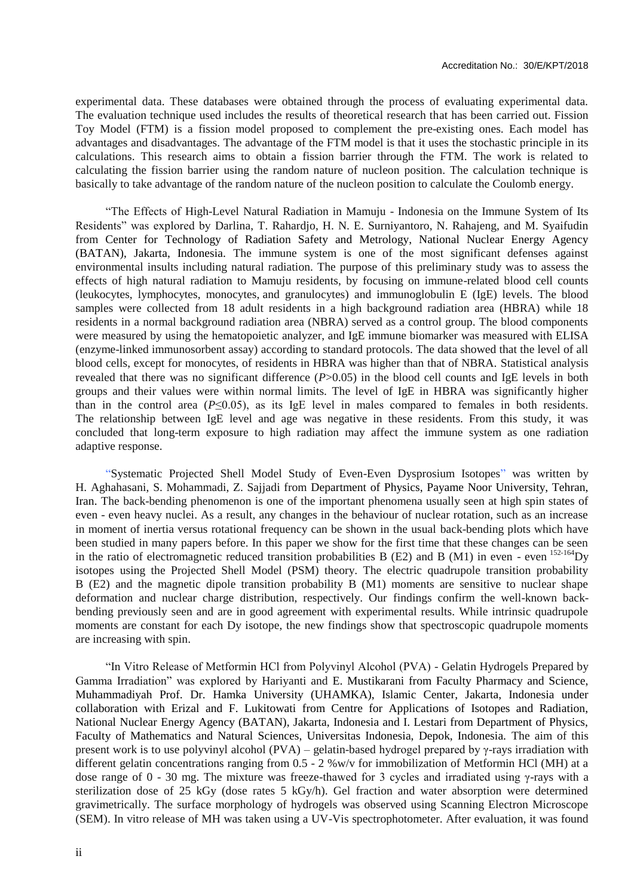experimental data. These databases were obtained through the process of evaluating experimental data. The evaluation technique used includes the results of theoretical research that has been carried out. Fission Toy Model (FTM) is a fission model proposed to complement the pre-existing ones. Each model has advantages and disadvantages. The advantage of the FTM model is that it uses the stochastic principle in its calculations. This research aims to obtain a fission barrier through the FTM. The work is related to calculating the fission barrier using the random nature of nucleon position. The calculation technique is basically to take advantage of the random nature of the nucleon position to calculate the Coulomb energy.

"The Effects of High-Level Natural Radiation in Mamuju - Indonesia on the Immune System of Its Residents" was explored by Darlina, T. Rahardjo, H. N. E. Surniyantoro, N. Rahajeng, and M. Syaifudin from Center for Technology of Radiation Safety and Metrology, National Nuclear Energy Agency (BATAN), Jakarta, Indonesia. The immune system is one of the most significant defenses against environmental insults including natural radiation. The purpose of this preliminary study was to assess the effects of high natural radiation to Mamuju residents, by focusing on immune-related blood cell counts (leukocytes, lymphocytes, monocytes, and granulocytes) and immunoglobulin E (IgE) levels. The blood samples were collected from 18 adult residents in a high background radiation area (HBRA) while 18 residents in a normal background radiation area (NBRA) served as a control group. The blood components were measured by using the hematopoietic analyzer, and IgE immune biomarker was measured with ELISA (enzyme-linked immunosorbent assay) according to standard protocols. The data showed that the level of all blood cells, except for monocytes, of residents in HBRA was higher than that of NBRA. Statistical analysis revealed that there was no significant difference (*P*>0.05) in the blood cell counts and IgE levels in both groups and their values were within normal limits. The level of IgE in HBRA was significantly higher than in the control area  $(P \le 0.05)$ , as its IgE level in males compared to females in both residents. The relationship between IgE level and age was negative in these residents. From this study, it was concluded that long-term exposure to high radiation may affect the immune system as one radiation adaptive response.

"Systematic Projected Shell Model Study of Even-Even Dysprosium Isotopes" was written by H. Aghahasani, S. Mohammadi, Z. Sajjadi from Department of Physics, Payame Noor University, Tehran, Iran. The back-bending phenomenon is one of the important phenomena usually seen at high spin states of even - even heavy nuclei. As a result, any changes in the behaviour of nuclear rotation, such as an increase in moment of inertia versus rotational frequency can be shown in the usual back-bending plots which have been studied in many papers before. In this paper we show for the first time that these changes can be seen in the ratio of electromagnetic reduced transition probabilities B (E2) and B (M1) in even - even  $^{152-164}$ Dy isotopes using the Projected Shell Model (PSM) theory. The electric quadrupole transition probability B (E2) and the magnetic dipole transition probability B (M1) moments are sensitive to nuclear shape deformation and nuclear charge distribution, respectively. Our findings confirm the well-known backbending previously seen and are in good agreement with experimental results. While intrinsic quadrupole moments are constant for each Dy isotope, the new findings show that spectroscopic quadrupole moments are increasing with spin.

"In Vitro Release of Metformin HCl from Polyvinyl Alcohol (PVA) - Gelatin Hydrogels Prepared by Gamma Irradiation" was explored by Hariyanti and E. Mustikarani from Faculty Pharmacy and Science, Muhammadiyah Prof. Dr. Hamka University (UHAMKA), Islamic Center, Jakarta, Indonesia under collaboration with Erizal and F. Lukitowati from Centre for Applications of Isotopes and Radiation, National Nuclear Energy Agency (BATAN), Jakarta, Indonesia and I. Lestari from Department of Physics, Faculty of Mathematics and Natural Sciences, Universitas Indonesia, Depok, Indonesia. The aim of this present work is to use polyvinyl alcohol (PVA) – gelatin-based hydrogel prepared by γ-rays irradiation with different gelatin concentrations ranging from 0.5 - 2 %w/v for immobilization of Metformin HCl (MH) at a dose range of 0 - 30 mg. The mixture was freeze-thawed for 3 cycles and irradiated using γ-rays with a sterilization dose of 25 kGy (dose rates 5 kGy/h). Gel fraction and water absorption were determined gravimetrically. The surface morphology of hydrogels was observed using Scanning Electron Microscope (SEM). In vitro release of MH was taken using a UV-Vis spectrophotometer. After evaluation, it was found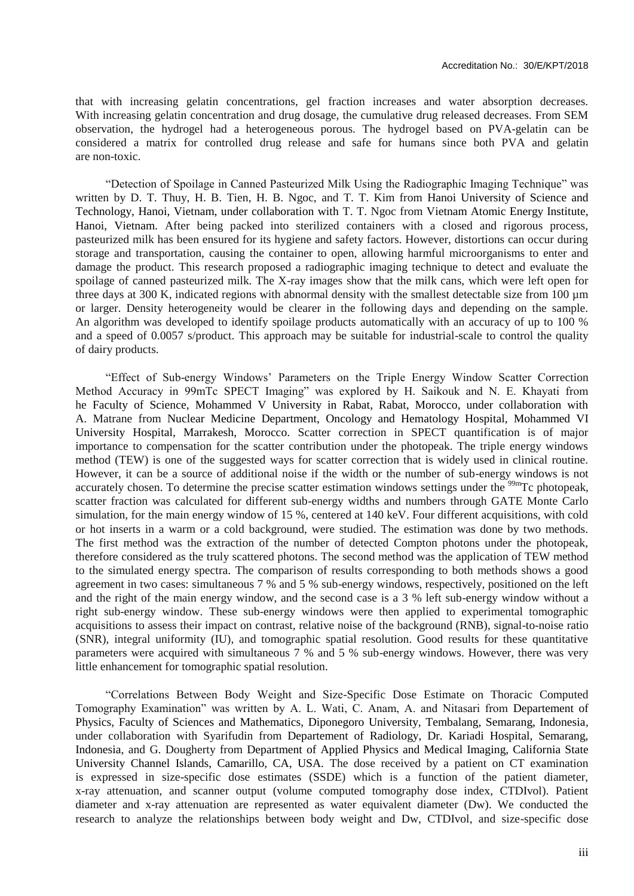that with increasing gelatin concentrations, gel fraction increases and water absorption decreases. With increasing gelatin concentration and drug dosage, the cumulative drug released decreases. From SEM observation, the hydrogel had a heterogeneous porous. The hydrogel based on PVA-gelatin can be considered a matrix for controlled drug release and safe for humans since both PVA and gelatin are non-toxic.

"Detection of Spoilage in Canned Pasteurized Milk Using the Radiographic Imaging Technique" was written by D. T. Thuy, H. B. Tien, H. B. Ngoc, and T. T. Kim from Hanoi University of Science and Technology, Hanoi, Vietnam, under collaboration with T. T. Ngoc from Vietnam Atomic Energy Institute, Hanoi, Vietnam. After being packed into sterilized containers with a closed and rigorous process, pasteurized milk has been ensured for its hygiene and safety factors. However, distortions can occur during storage and transportation, causing the container to open, allowing harmful microorganisms to enter and damage the product. This research proposed a radiographic imaging technique to detect and evaluate the spoilage of canned pasteurized milk. The X-ray images show that the milk cans, which were left open for three days at 300 K, indicated regions with abnormal density with the smallest detectable size from 100 µm or larger. Density heterogeneity would be clearer in the following days and depending on the sample. An algorithm was developed to identify spoilage products automatically with an accuracy of up to 100 % and a speed of 0.0057 s/product. This approach may be suitable for industrial-scale to control the quality of dairy products.

"Effect of Sub-energy Windows' Parameters on the Triple Energy Window Scatter Correction Method Accuracy in 99mTc SPECT Imaging" was explored by H. Saikouk and N. E. Khayati from he Faculty of Science, Mohammed V University in Rabat, Rabat, Morocco, under collaboration with A. Matrane from Nuclear Medicine Department, Oncology and Hematology Hospital, Mohammed VI University Hospital, Marrakesh, Morocco. Scatter correction in SPECT quantification is of major importance to compensation for the scatter contribution under the photopeak. The triple energy windows method (TEW) is one of the suggested ways for scatter correction that is widely used in clinical routine. However, it can be a source of additional noise if the width or the number of sub-energy windows is not accurately chosen. To determine the precise scatter estimation windows settings under the <sup>99m</sup>Tc photopeak, scatter fraction was calculated for different sub-energy widths and numbers through GATE Monte Carlo simulation, for the main energy window of 15 %, centered at 140 keV. Four different acquisitions, with cold or hot inserts in a warm or a cold background, were studied. The estimation was done by two methods. The first method was the extraction of the number of detected Compton photons under the photopeak, therefore considered as the truly scattered photons. The second method was the application of TEW method to the simulated energy spectra. The comparison of results corresponding to both methods shows a good agreement in two cases: simultaneous 7 % and 5 % sub-energy windows, respectively, positioned on the left and the right of the main energy window, and the second case is a 3 % left sub-energy window without a right sub-energy window. These sub-energy windows were then applied to experimental tomographic acquisitions to assess their impact on contrast, relative noise of the background (RNB), signal-to-noise ratio (SNR), integral uniformity (IU), and tomographic spatial resolution. Good results for these quantitative parameters were acquired with simultaneous 7 % and 5 % sub-energy windows. However, there was very little enhancement for tomographic spatial resolution.

"Correlations Between Body Weight and Size-Specific Dose Estimate on Thoracic Computed Tomography Examination" was written by A. L. Wati, C. Anam, A. and Nitasari from Departement of Physics, Faculty of Sciences and Mathematics, Diponegoro University, Tembalang, Semarang, Indonesia, under collaboration with Syarifudin from Departement of Radiology, Dr. Kariadi Hospital, Semarang, Indonesia, and G. Dougherty from Department of Applied Physics and Medical Imaging, California State University Channel Islands, Camarillo, CA, USA. The dose received by a patient on CT examination is expressed in size-specific dose estimates (SSDE) which is a function of the patient diameter, x-ray attenuation, and scanner output (volume computed tomography dose index, CTDIvol). Patient diameter and x-ray attenuation are represented as water equivalent diameter (Dw). We conducted the research to analyze the relationships between body weight and Dw, CTDIvol, and size-specific dose